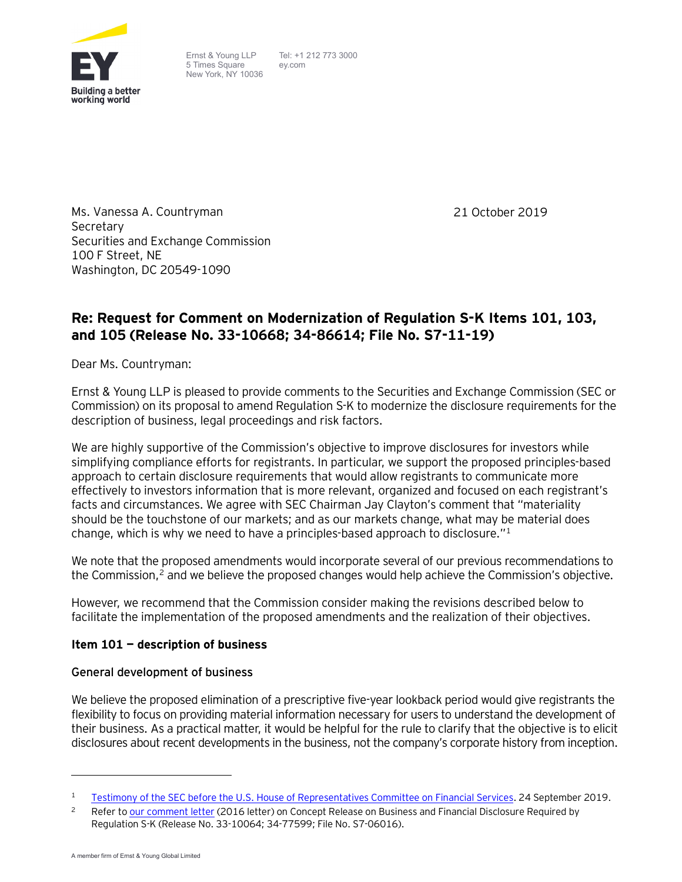

Ernst & Young LLP 5 Times Square New York, NY 10036 Tel: +1 212 773 3000 ey.com

21 October 2019

Ms. Vanessa A. Countryman Secretary Securities and Exchange Commission 100 F Street, NE Washington, DC 20549-1090

# **Re: Request for Comment on Modernization of Regulation S-K Items 101, 103, and 105 (Release No. 33-10668; 34-86614; File No. S7-11-19)**

Dear Ms. Countryman:

Ernst & Young LLP is pleased to provide comments to the Securities and Exchange Commission (SEC or Commission) on its proposal to amend Regulation S-K to modernize the disclosure requirements for the description of business, legal proceedings and risk factors.

We are highly supportive of the Commission's objective to improve disclosures for investors while simplifying compliance efforts for registrants. In particular, we support the proposed principles-based approach to certain disclosure requirements that would allow registrants to communicate more effectively to investors information that is more relevant, organized and focused on each registrant's facts and circumstances. We agree with SEC Chairman Jay Clayton's comment that "materiality should be the touchstone of our markets; and as our markets change, what may be material does change, which is why we need to have a principles-based approach to disclosure."[1](#page-0-0)

We note that the proposed amendments would incorporate several of our previous recommendations to the Commission,<sup>[2](#page-0-1)</sup> and we believe the proposed changes would help achieve the Commission's objective.

However, we recommend that the Commission consider making the revisions described below to facilitate the implementation of the proposed amendments and the realization of their objectives.

### **Item 101 — description of business**

### **General development of business**

We believe the proposed elimination of a prescriptive five-year lookback period would give registrants the flexibility to focus on providing material information necessary for users to understand the development of their business. As a practical matter, it would be helpful for the rule to clarify that the objective is to elicit disclosures about recent developments in the business, not the company's corporate history from inception.

 $\overline{a}$ 

<span id="page-0-0"></span><sup>1</sup> [Testimony of the SEC before the U.S. House of Representatives Committee on Financial Services.](https://financialservices.house.gov/uploadedfiles/hhrg-116-ba00-wstate-claytonj-20190924.pdf) 24 September 2019.

<span id="page-0-1"></span><sup>&</sup>lt;sup>2</sup> Refer t[o our comment letter](https://www.sec.gov/comments/s7-06-16/s70616-223.pdf) (2016 letter) on Concept Release on Business and Financial Disclosure Required by Regulation S-K (Release No. 33-10064; 34-77599; File No. S7-06016).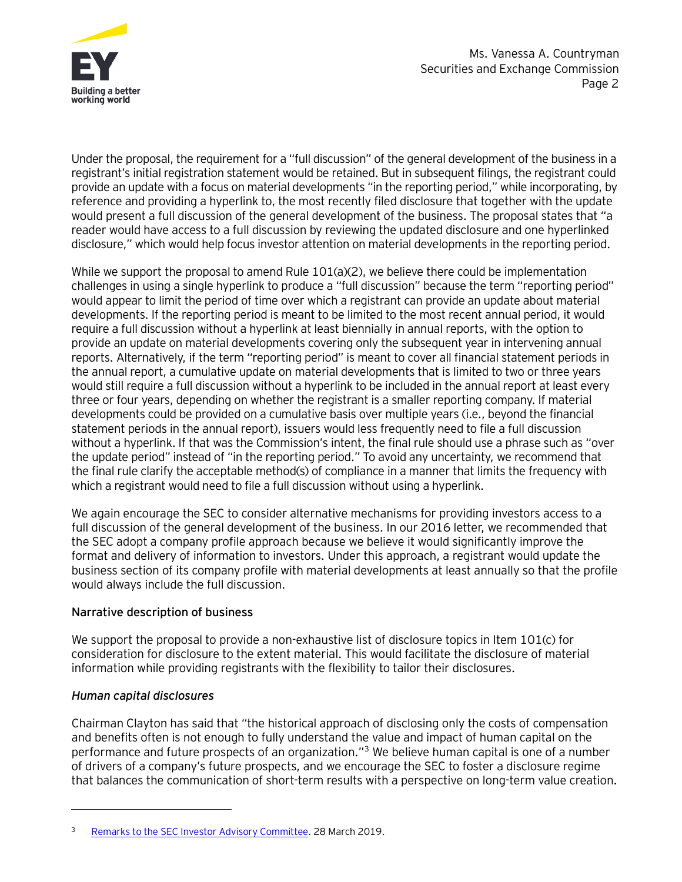

Under the proposal, the requirement for a "full discussion" of the general development of the business in a registrant's initial registration statement would be retained. But in subsequent filings, the registrant could provide an update with a focus on material developments "in the reporting period," while incorporating, by reference and providing a hyperlink to, the most recently filed disclosure that together with the update would present a full discussion of the general development of the business. The proposal states that "a reader would have access to a full discussion by reviewing the updated disclosure and one hyperlinked disclosure," which would help focus investor attention on material developments in the reporting period.

While we support the proposal to amend Rule 101(a)(2), we believe there could be implementation challenges in using a single hyperlink to produce a "full discussion" because the term "reporting period" would appear to limit the period of time over which a registrant can provide an update about material developments. If the reporting period is meant to be limited to the most recent annual period, it would require a full discussion without a hyperlink at least biennially in annual reports, with the option to provide an update on material developments covering only the subsequent year in intervening annual reports. Alternatively, if the term "reporting period" is meant to cover all financial statement periods in the annual report, a cumulative update on material developments that is limited to two or three years would still require a full discussion without a hyperlink to be included in the annual report at least every three or four years, depending on whether the registrant is a smaller reporting company. If material developments could be provided on a cumulative basis over multiple years (i.e., beyond the financial statement periods in the annual report), issuers would less frequently need to file a full discussion without a hyperlink. If that was the Commission's intent, the final rule should use a phrase such as "over the update period" instead of "in the reporting period." To avoid any uncertainty, we recommend that the final rule clarify the acceptable method(s) of compliance in a manner that limits the frequency with which a registrant would need to file a full discussion without using a hyperlink.

We again encourage the SEC to consider alternative mechanisms for providing investors access to a full discussion of the general development of the business. In our 2016 letter, we recommended that the SEC adopt a company profile approach because we believe it would significantly improve the format and delivery of information to investors. Under this approach, a registrant would update the business section of its company profile with material developments at least annually so that the profile would always include the full discussion.

### **Narrative description of business**

We support the proposal to provide a non-exhaustive list of disclosure topics in Item 101(c) for consideration for disclosure to the extent material. This would facilitate the disclosure of material information while providing registrants with the flexibility to tailor their disclosures.

### *Human capital disclosures*

 $\overline{a}$ 

Chairman Clayton has said that "the historical approach of disclosing only the costs of compensation and benefits often is not enough to fully understand the value and impact of human capital on the performance and future prospects of an organization.["3](#page-1-0) We believe human capital is one of a number of drivers of a company's future prospects, and we encourage the SEC to foster a disclosure regime that balances the communication of short-term results with a perspective on long-term value creation.

<span id="page-1-0"></span><sup>&</sup>lt;sup>3</sup> [Remarks to the SEC Investor Advisory Committee.](https://www.sec.gov/news/public-statement/clayton-remarks-investor-advisory-committee-032819) 28 March 2019.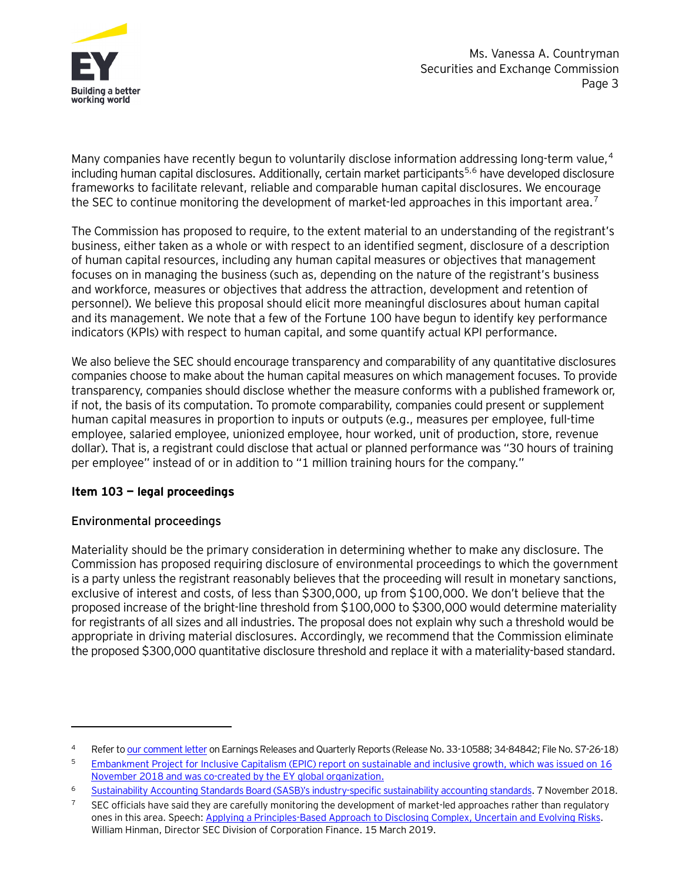

Many companies have recently begun to voluntarily disclose information addressing long-term value,<sup>4</sup> including human capital disclosures. Additionally, certain market participants<sup>5,[6](#page-2-2)</sup> have developed disclosure frameworks to facilitate relevant, reliable and comparable human capital disclosures. We encourage the SEC to continue monitoring the development of market-led approaches in this important area.<sup>[7](#page-2-3)</sup>

The Commission has proposed to require, to the extent material to an understanding of the registrant's business, either taken as a whole or with respect to an identified segment, disclosure of a description of human capital resources, including any human capital measures or objectives that management focuses on in managing the business (such as, depending on the nature of the registrant's business and workforce, measures or objectives that address the attraction, development and retention of personnel). We believe this proposal should elicit more meaningful disclosures about human capital and its management. We note that a few of the Fortune 100 have begun to identify key performance indicators (KPIs) with respect to human capital, and some quantify actual KPI performance.

We also believe the SEC should encourage transparency and comparability of any quantitative disclosures companies choose to make about the human capital measures on which management focuses. To provide transparency, companies should disclose whether the measure conforms with a published framework or, if not, the basis of its computation. To promote comparability, companies could present or supplement human capital measures in proportion to inputs or outputs (e.g., measures per employee, full-time employee, salaried employee, unionized employee, hour worked, unit of production, store, revenue dollar). That is, a registrant could disclose that actual or planned performance was "30 hours of training per employee" instead of or in addition to "1 million training hours for the company."

# **Item 103 — legal proceedings**

### **Environmental proceedings**

 $\overline{a}$ 

Materiality should be the primary consideration in determining whether to make any disclosure. The Commission has proposed requiring disclosure of environmental proceedings to which the government is a party unless the registrant reasonably believes that the proceeding will result in monetary sanctions, exclusive of interest and costs, of less than \$300,000, up from \$100,000. We don't believe that the proposed increase of the bright-line threshold from \$100,000 to \$300,000 would determine materiality for registrants of all sizes and all industries. The proposal does not explain why such a threshold would be appropriate in driving material disclosures. Accordingly, we recommend that the Commission eliminate the proposed \$300,000 quantitative disclosure threshold and replace it with a materiality-based standard.

<span id="page-2-0"></span><sup>4</sup> Refer t[o our comment letter](https://www.sec.gov/comments/s7-26-18/s72618-5169795-183489.pdf) on Earnings Releases and Quarterly Reports (Release No. 33-10588; 34-84842; FileNo. S7-26-18)

<span id="page-2-1"></span><sup>5</sup> [Embankment Project for Inclusive Capitalism \(EPIC\) report on sustainable and inclusive growth,](https://www.ey.com/en_gl/news/2018/11/embankment-project-for-inclusive-capitalism-releases-report-to-drive-sustainable-and-inclusive-growth) which was issued on 16 November 2018 and was co-created by the EY global organization.

<span id="page-2-2"></span><sup>6</sup> [Sustainability Accounting Standards Board \(SASB\)'s industry-specific sustainability accounting standards.](http://www.globenewswire.com/news-release/2018/11/07/1646736/0/en/SASB-Codifies-First-Ever-Industry-Specific-Sustainability-Accounting-Standards.html) 7 November 2018.

<span id="page-2-3"></span> $7$  SEC officials have said they are carefully monitoring the development of market-led approaches rather than regulatory ones in this area. Speech: [Applying a Principles-Based Approach to Disclosing Complex, Uncertain and Evolving Risks.](https://www.sec.gov/news/speech/hinman-applying-principles-based-approach-disclosure-031519)  William Hinman, Director SEC Division of Corporation Finance. 15 March 2019.